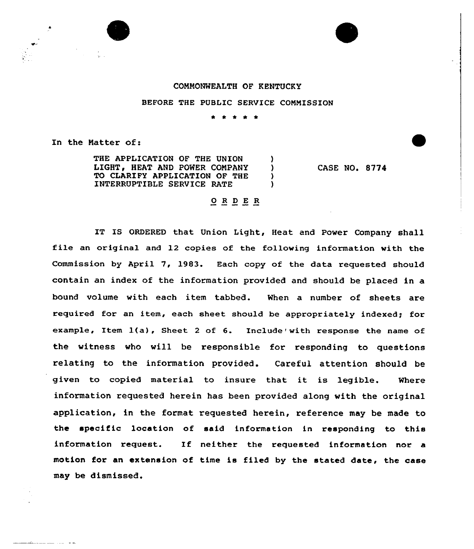## COMMONWEALTH OF KENTUCKY

## BEFORE THE PUBLIC SERVICE COMMISSION

\* \* \* \* \*

In the Matter of:

THE APPLICATION OF THE UNION )<br>LIGHT, HEAT AND POWER COMPANY ) LIGHT, HEAT AND POWER COMPANY )<br>TO CLARIFY APPLICATION OF THE TO CLARIFY APPLICATION OF THE INTERRUPTIBLE SERVICE RATE )

CASE NO. 8774

## 0 <sup>R</sup> <sup>D</sup> E R

IT IS ORDERED that Union Light, Heat and Power Company shall file an original and 12 copies of the following information with the Commission by April 7, 1983. Each copy of the data requested should contain an index of the information provided and should be placed in a bound volume with each item tabbed. When a number cf sheets are required for an item, each sheet should be appropriately indexed; for example, Item  $1(a)$ , Sheet 2 of 6. Include' with response the name of the witness who will be responsible for responding to questions relating to the information provided. Careful attention should be given to copied material to insure that it is legible. Where information requested herein has been provided along with the original application, in the format requested herein, reference may be made to the specific location of said information in responding to this information request. If neither the requested information nor a motion for an extension of time is filed by the stated date, the case may be dismissed.